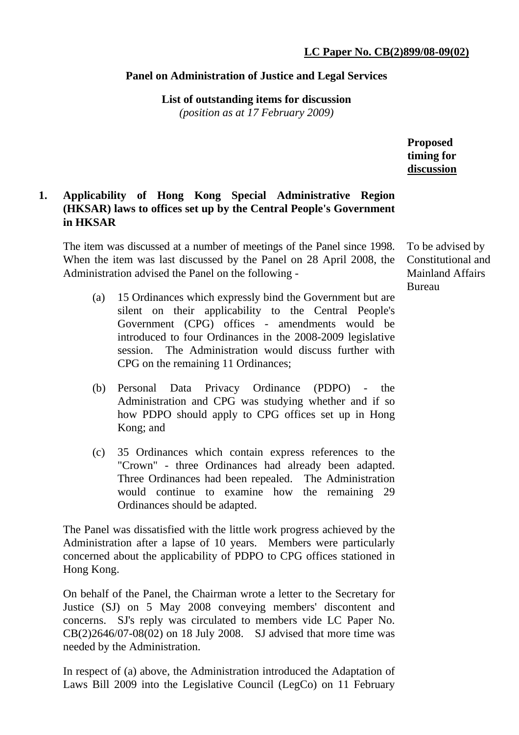## **Panel on Administration of Justice and Legal Services**

**List of outstanding items for discussion**  *(position as at 17 February 2009)*

> **Proposed timing for discussion**

## **1. Applicability of Hong Kong Special Administrative Region (HKSAR) laws to offices set up by the Central People's Government in HKSAR**

The item was discussed at a number of meetings of the Panel since 1998. When the item was last discussed by the Panel on 28 April 2008, the Administration advised the Panel on the following -

- (a) 15 Ordinances which expressly bind the Government but are silent on their applicability to the Central People's Government (CPG) offices - amendments would be introduced to four Ordinances in the 2008-2009 legislative session. The Administration would discuss further with CPG on the remaining 11 Ordinances;
- (b) Personal Data Privacy Ordinance (PDPO) the Administration and CPG was studying whether and if so how PDPO should apply to CPG offices set up in Hong Kong; and
- (c) 35 Ordinances which contain express references to the "Crown" - three Ordinances had already been adapted. Three Ordinances had been repealed. The Administration would continue to examine how the remaining 29 Ordinances should be adapted.

The Panel was dissatisfied with the little work progress achieved by the Administration after a lapse of 10 years. Members were particularly concerned about the applicability of PDPO to CPG offices stationed in Hong Kong.

On behalf of the Panel, the Chairman wrote a letter to the Secretary for Justice (SJ) on 5 May 2008 conveying members' discontent and concerns. SJ's reply was circulated to members vide LC Paper No. CB(2)2646/07-08(02) on 18 July 2008. SJ advised that more time was needed by the Administration.

In respect of (a) above, the Administration introduced the Adaptation of Laws Bill 2009 into the Legislative Council (LegCo) on 11 February To be advised by Constitutional and Mainland Affairs Bureau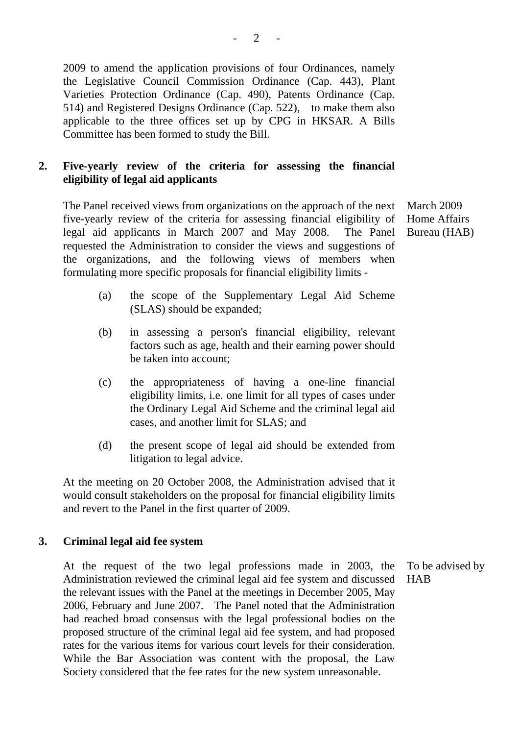2009 to amend the application provisions of four Ordinances, namely the Legislative Council Commission Ordinance (Cap. 443), Plant Varieties Protection Ordinance (Cap. 490), Patents Ordinance (Cap. 514) and Registered Designs Ordinance (Cap. 522), to make them also applicable to the three offices set up by CPG in HKSAR. A Bills Committee has been formed to study the Bill.

# **2. Five-yearly review of the criteria for assessing the financial eligibility of legal aid applicants**

The Panel received views from organizations on the approach of the next five-yearly review of the criteria for assessing financial eligibility of legal aid applicants in March 2007 and May 2008. The Panel requested the Administration to consider the views and suggestions of the organizations, and the following views of members when formulating more specific proposals for financial eligibility limits -

March 2009 Home Affairs Bureau (HAB)

- (a) the scope of the Supplementary Legal Aid Scheme (SLAS) should be expanded;
- (b) in assessing a person's financial eligibility, relevant factors such as age, health and their earning power should be taken into account;
- (c) the appropriateness of having a one-line financial eligibility limits, i.e. one limit for all types of cases under the Ordinary Legal Aid Scheme and the criminal legal aid cases, and another limit for SLAS; and
- (d) the present scope of legal aid should be extended from litigation to legal advice.

At the meeting on 20 October 2008, the Administration advised that it would consult stakeholders on the proposal for financial eligibility limits and revert to the Panel in the first quarter of 2009.

## **3. Criminal legal aid fee system**

At the request of the two legal professions made in 2003, the Administration reviewed the criminal legal aid fee system and discussed the relevant issues with the Panel at the meetings in December 2005, May 2006, February and June 2007. The Panel noted that the Administration had reached broad consensus with the legal professional bodies on the proposed structure of the criminal legal aid fee system, and had proposed rates for the various items for various court levels for their consideration. While the Bar Association was content with the proposal, the Law Society considered that the fee rates for the new system unreasonable.

To be advised by **HAB**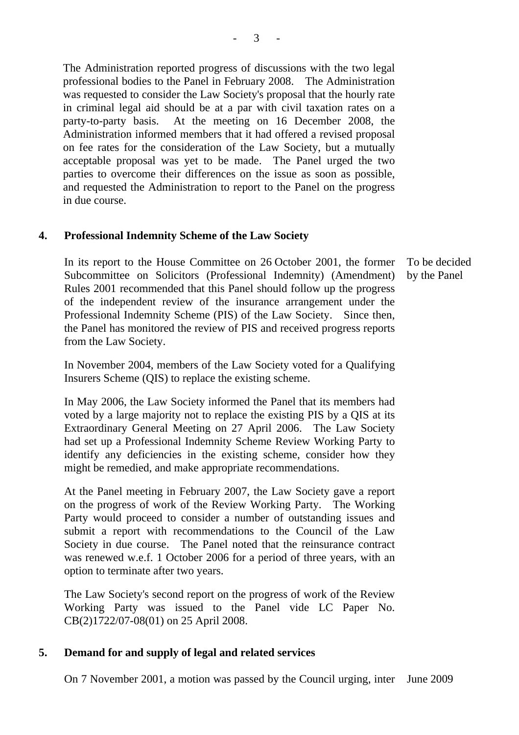The Administration reported progress of discussions with the two legal professional bodies to the Panel in February 2008. The Administration was requested to consider the Law Society's proposal that the hourly rate in criminal legal aid should be at a par with civil taxation rates on a party-to-party basis. At the meeting on 16 December 2008, the Administration informed members that it had offered a revised proposal on fee rates for the consideration of the Law Society, but a mutually acceptable proposal was yet to be made. The Panel urged the two parties to overcome their differences on the issue as soon as possible, and requested the Administration to report to the Panel on the progress in due course.

## **4. Professional Indemnity Scheme of the Law Society**

In its report to the House Committee on 26 October 2001, the former Subcommittee on Solicitors (Professional Indemnity) (Amendment) Rules 2001 recommended that this Panel should follow up the progress of the independent review of the insurance arrangement under the Professional Indemnity Scheme (PIS) of the Law Society. Since then, the Panel has monitored the review of PIS and received progress reports from the Law Society.

In November 2004, members of the Law Society voted for a Qualifying Insurers Scheme (QIS) to replace the existing scheme.

In May 2006, the Law Society informed the Panel that its members had voted by a large majority not to replace the existing PIS by a QIS at its Extraordinary General Meeting on 27 April 2006. The Law Society had set up a Professional Indemnity Scheme Review Working Party to identify any deficiencies in the existing scheme, consider how they might be remedied, and make appropriate recommendations.

At the Panel meeting in February 2007, the Law Society gave a report on the progress of work of the Review Working Party. The Working Party would proceed to consider a number of outstanding issues and submit a report with recommendations to the Council of the Law Society in due course. The Panel noted that the reinsurance contract was renewed w.e.f. 1 October 2006 for a period of three years, with an option to terminate after two years.

The Law Society's second report on the progress of work of the Review Working Party was issued to the Panel vide LC Paper No. CB(2)1722/07-08(01) on 25 April 2008.

## **5. Demand for and supply of legal and related services**

On 7 November 2001, a motion was passed by the Council urging, inter June 2009

To be decided by the Panel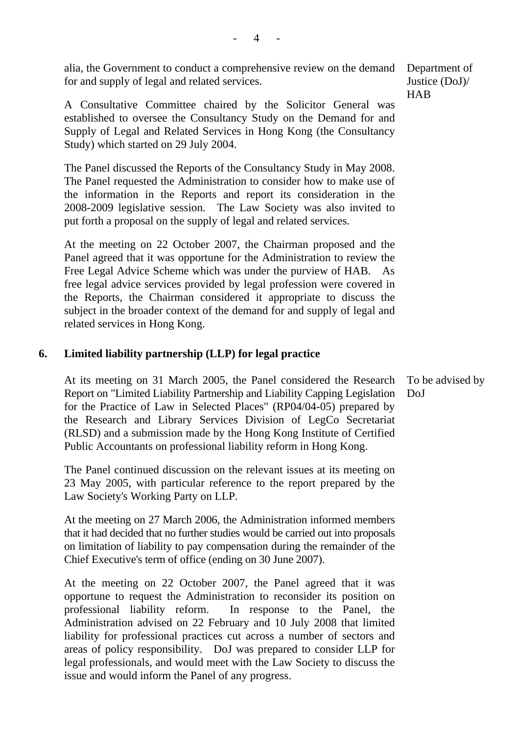alia, the Government to conduct a comprehensive review on the demand for and supply of legal and related services.

A Consultative Committee chaired by the Solicitor General was established to oversee the Consultancy Study on the Demand for and Supply of Legal and Related Services in Hong Kong (the Consultancy Study) which started on 29 July 2004.

The Panel discussed the Reports of the Consultancy Study in May 2008. The Panel requested the Administration to consider how to make use of the information in the Reports and report its consideration in the 2008-2009 legislative session. The Law Society was also invited to put forth a proposal on the supply of legal and related services.

At the meeting on 22 October 2007, the Chairman proposed and the Panel agreed that it was opportune for the Administration to review the Free Legal Advice Scheme which was under the purview of HAB. As free legal advice services provided by legal profession were covered in the Reports, the Chairman considered it appropriate to discuss the subject in the broader context of the demand for and supply of legal and related services in Hong Kong.

## **6. Limited liability partnership (LLP) for legal practice**

At its meeting on 31 March 2005, the Panel considered the Research Report on "Limited Liability Partnership and Liability Capping Legislation for the Practice of Law in Selected Places" (RP04/04-05) prepared by the Research and Library Services Division of LegCo Secretariat (RLSD) and a submission made by the Hong Kong Institute of Certified Public Accountants on professional liability reform in Hong Kong. DoJ

The Panel continued discussion on the relevant issues at its meeting on 23 May 2005, with particular reference to the report prepared by the Law Society's Working Party on LLP.

At the meeting on 27 March 2006, the Administration informed members that it had decided that no further studies would be carried out into proposals on limitation of liability to pay compensation during the remainder of the Chief Executive's term of office (ending on 30 June 2007).

At the meeting on 22 October 2007, the Panel agreed that it was opportune to request the Administration to reconsider its position on professional liability reform. In response to the Panel, the Administration advised on 22 February and 10 July 2008 that limited liability for professional practices cut across a number of sectors and areas of policy responsibility. DoJ was prepared to consider LLP for legal professionals, and would meet with the Law Society to discuss the issue and would inform the Panel of any progress.

Department of Justice (DoJ)/ **HAB** 

To be advised by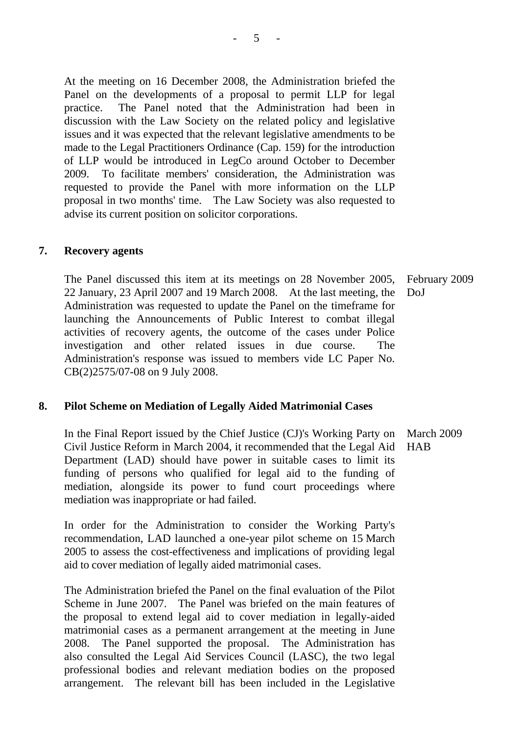At the meeting on 16 December 2008, the Administration briefed the Panel on the developments of a proposal to permit LLP for legal practice. The Panel noted that the Administration had been in discussion with the Law Society on the related policy and legislative issues and it was expected that the relevant legislative amendments to be made to the Legal Practitioners Ordinance (Cap. 159) for the introduction of LLP would be introduced in LegCo around October to December 2009. To facilitate members' consideration, the Administration was requested to provide the Panel with more information on the LLP proposal in two months' time. The Law Society was also requested to advise its current position on solicitor corporations.

#### **7. Recovery agents**

The Panel discussed this item at its meetings on 28 November 2005, 22 January, 23 April 2007 and 19 March 2008. At the last meeting, the Administration was requested to update the Panel on the timeframe for launching the Announcements of Public Interest to combat illegal activities of recovery agents, the outcome of the cases under Police investigation and other related issues in due course. The Administration's response was issued to members vide LC Paper No. CB(2)2575/07-08 on 9 July 2008. February 2009 DoJ

## **8. Pilot Scheme on Mediation of Legally Aided Matrimonial Cases**

In the Final Report issued by the Chief Justice (CJ)'s Working Party on Civil Justice Reform in March 2004, it recommended that the Legal Aid Department (LAD) should have power in suitable cases to limit its funding of persons who qualified for legal aid to the funding of mediation, alongside its power to fund court proceedings where mediation was inappropriate or had failed. March 2009 HAB

In order for the Administration to consider the Working Party's recommendation, LAD launched a one-year pilot scheme on 15 March 2005 to assess the cost-effectiveness and implications of providing legal aid to cover mediation of legally aided matrimonial cases.

The Administration briefed the Panel on the final evaluation of the Pilot Scheme in June 2007. The Panel was briefed on the main features of the proposal to extend legal aid to cover mediation in legally-aided matrimonial cases as a permanent arrangement at the meeting in June 2008. The Panel supported the proposal. The Administration has also consulted the Legal Aid Services Council (LASC), the two legal professional bodies and relevant mediation bodies on the proposed arrangement. The relevant bill has been included in the Legislative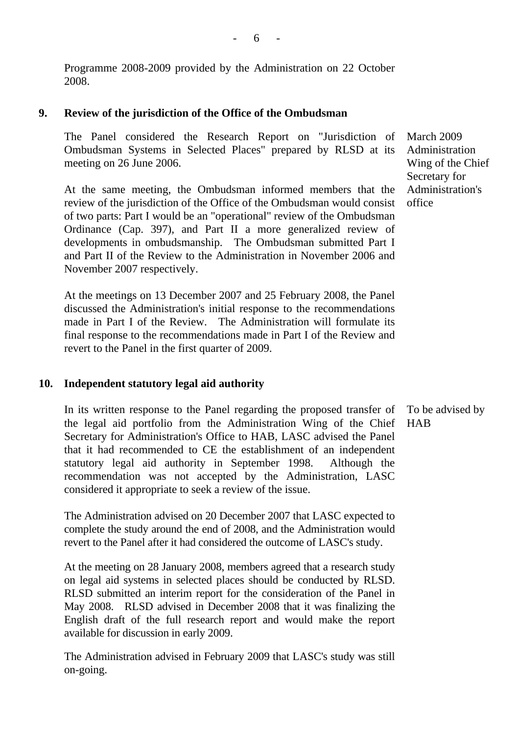Programme 2008-2009 provided by the Administration on 22 October 2008.

## **9. Review of the jurisdiction of the Office of the Ombudsman**

The Panel considered the Research Report on "Jurisdiction of Ombudsman Systems in Selected Places" prepared by RLSD at its meeting on 26 June 2006.

At the same meeting, the Ombudsman informed members that the review of the jurisdiction of the Office of the Ombudsman would consist of two parts: Part I would be an "operational" review of the Ombudsman Ordinance (Cap. 397), and Part II a more generalized review of developments in ombudsmanship. The Ombudsman submitted Part I and Part II of the Review to the Administration in November 2006 and November 2007 respectively.

At the meetings on 13 December 2007 and 25 February 2008, the Panel discussed the Administration's initial response to the recommendations made in Part I of the Review. The Administration will formulate its final response to the recommendations made in Part I of the Review and revert to the Panel in the first quarter of 2009.

## **10. Independent statutory legal aid authority**

In its written response to the Panel regarding the proposed transfer of the legal aid portfolio from the Administration Wing of the Chief Secretary for Administration's Office to HAB, LASC advised the Panel that it had recommended to CE the establishment of an independent statutory legal aid authority in September 1998. Although the recommendation was not accepted by the Administration, LASC considered it appropriate to seek a review of the issue.

The Administration advised on 20 December 2007 that LASC expected to complete the study around the end of 2008, and the Administration would revert to the Panel after it had considered the outcome of LASC's study.

At the meeting on 28 January 2008, members agreed that a research study on legal aid systems in selected places should be conducted by RLSD. RLSD submitted an interim report for the consideration of the Panel in May 2008. RLSD advised in December 2008 that it was finalizing the English draft of the full research report and would make the report available for discussion in early 2009.

The Administration advised in February 2009 that LASC's study was still on-going.

March 2009 Administration Wing of the Chief Secretary for Administration's office

To be advised by HAB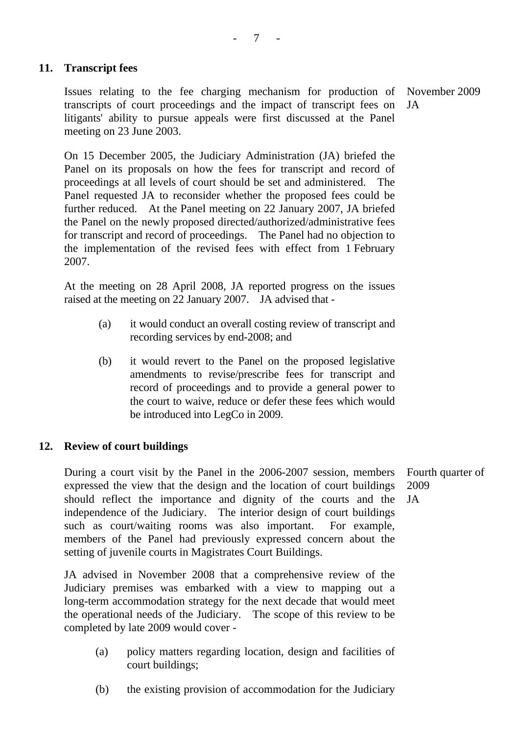## **11. Transcript fees**

Issues relating to the fee charging mechanism for production of transcripts of court proceedings and the impact of transcript fees on litigants' ability to pursue appeals were first discussed at the Panel meeting on 23 June 2003.

November 2009 JA

On 15 December 2005, the Judiciary Administration (JA) briefed the Panel on its proposals on how the fees for transcript and record of proceedings at all levels of court should be set and administered. The Panel requested JA to reconsider whether the proposed fees could be further reduced. At the Panel meeting on 22 January 2007, JA briefed the Panel on the newly proposed directed/authorized/administrative fees for transcript and record of proceedings. The Panel had no objection to the implementation of the revised fees with effect from 1 February 2007.

At the meeting on 28 April 2008, JA reported progress on the issues raised at the meeting on 22 January 2007. JA advised that -

- (a) it would conduct an overall costing review of transcript and recording services by end-2008; and
- (b) it would revert to the Panel on the proposed legislative amendments to revise/prescribe fees for transcript and record of proceedings and to provide a general power to the court to waive, reduce or defer these fees which would be introduced into LegCo in 2009.

## **12. Review of court buildings**

During a court visit by the Panel in the 2006-2007 session, members expressed the view that the design and the location of court buildings should reflect the importance and dignity of the courts and the independence of the Judiciary. The interior design of court buildings such as court/waiting rooms was also important. For example, members of the Panel had previously expressed concern about the setting of juvenile courts in Magistrates Court Buildings. JA

JA advised in November 2008 that a comprehensive review of the Judiciary premises was embarked with a view to mapping out a long-term accommodation strategy for the next decade that would meet the operational needs of the Judiciary. The scope of this review to be completed by late 2009 would cover -

- (a) policy matters regarding location, design and facilities of court buildings;
- (b) the existing provision of accommodation for the Judiciary

Fourth quarter of 2009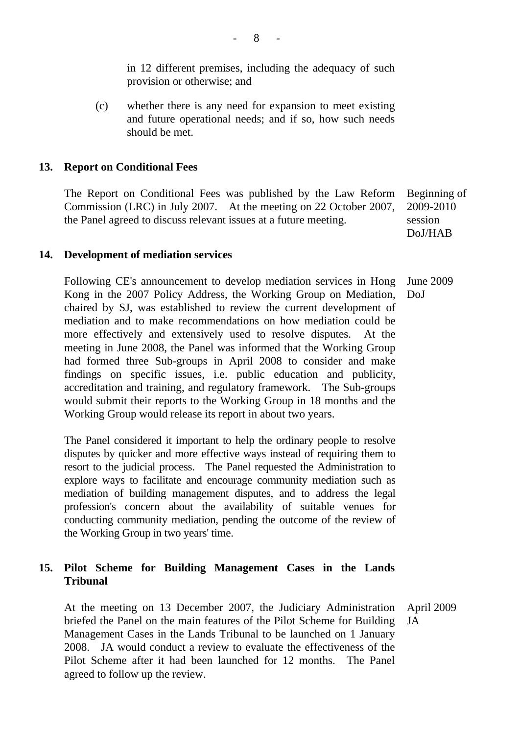in 12 different premises, including the adequacy of such provision or otherwise; and

(c) whether there is any need for expansion to meet existing and future operational needs; and if so, how such needs should be met.

## **13. Report on Conditional Fees**

The Report on Conditional Fees was published by the Law Reform Commission (LRC) in July 2007. At the meeting on 22 October 2007, the Panel agreed to discuss relevant issues at a future meeting. Beginning of 2009-2010 session

DoJ/HAB

## **14. Development of mediation services**

Following CE's announcement to develop mediation services in Hong Kong in the 2007 Policy Address, the Working Group on Mediation, chaired by SJ, was established to review the current development of mediation and to make recommendations on how mediation could be more effectively and extensively used to resolve disputes. At the meeting in June 2008, the Panel was informed that the Working Group had formed three Sub-groups in April 2008 to consider and make findings on specific issues, i.e. public education and publicity, accreditation and training, and regulatory framework. The Sub-groups would submit their reports to the Working Group in 18 months and the Working Group would release its report in about two years. June 2009 DoJ

The Panel considered it important to help the ordinary people to resolve disputes by quicker and more effective ways instead of requiring them to resort to the judicial process. The Panel requested the Administration to explore ways to facilitate and encourage community mediation such as mediation of building management disputes, and to address the legal profession's concern about the availability of suitable venues for conducting community mediation, pending the outcome of the review of the Working Group in two years' time.

## **15. Pilot Scheme for Building Management Cases in the Lands Tribunal**

At the meeting on 13 December 2007, the Judiciary Administration briefed the Panel on the main features of the Pilot Scheme for Building Management Cases in the Lands Tribunal to be launched on 1 January 2008. JA would conduct a review to evaluate the effectiveness of the Pilot Scheme after it had been launched for 12 months. The Panel agreed to follow up the review. April 2009 JA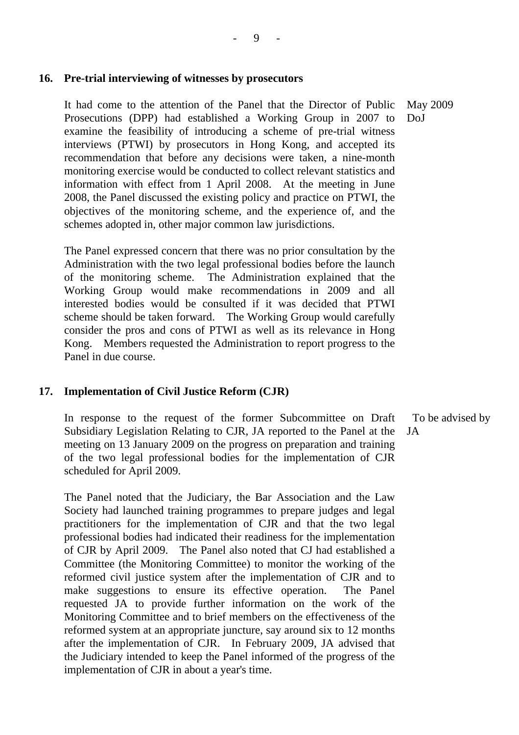#### **16. Pre-trial interviewing of witnesses by prosecutors**

It had come to the attention of the Panel that the Director of Public Prosecutions (DPP) had established a Working Group in 2007 to examine the feasibility of introducing a scheme of pre-trial witness interviews (PTWI) by prosecutors in Hong Kong, and accepted its recommendation that before any decisions were taken, a nine-month monitoring exercise would be conducted to collect relevant statistics and information with effect from 1 April 2008. At the meeting in June 2008, the Panel discussed the existing policy and practice on PTWI, the objectives of the monitoring scheme, and the experience of, and the schemes adopted in, other major common law jurisdictions. DoJ

The Panel expressed concern that there was no prior consultation by the Administration with the two legal professional bodies before the launch of the monitoring scheme. The Administration explained that the Working Group would make recommendations in 2009 and all interested bodies would be consulted if it was decided that PTWI scheme should be taken forward. The Working Group would carefully consider the pros and cons of PTWI as well as its relevance in Hong Kong. Members requested the Administration to report progress to the Panel in due course.

#### **17. Implementation of Civil Justice Reform (CJR)**

In response to the request of the former Subcommittee on Draft Subsidiary Legislation Relating to CJR, JA reported to the Panel at the meeting on 13 January 2009 on the progress on preparation and training of the two legal professional bodies for the implementation of CJR scheduled for April 2009.

The Panel noted that the Judiciary, the Bar Association and the Law Society had launched training programmes to prepare judges and legal practitioners for the implementation of CJR and that the two legal professional bodies had indicated their readiness for the implementation of CJR by April 2009. The Panel also noted that CJ had established a Committee (the Monitoring Committee) to monitor the working of the reformed civil justice system after the implementation of CJR and to make suggestions to ensure its effective operation. The Panel requested JA to provide further information on the work of the Monitoring Committee and to brief members on the effectiveness of the reformed system at an appropriate juncture, say around six to 12 months after the implementation of CJR. In February 2009, JA advised that the Judiciary intended to keep the Panel informed of the progress of the implementation of CJR in about a year's time.

To be advised by

JA

May 2009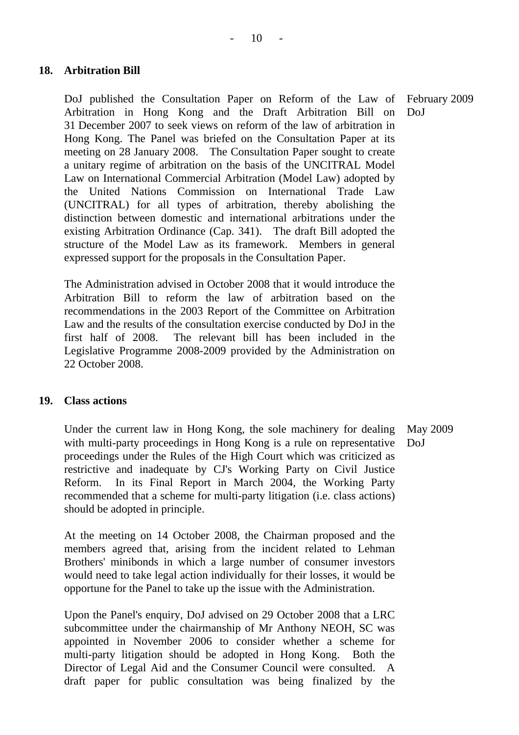## **18. Arbitration Bill**

DoJ published the Consultation Paper on Reform of the Law of Arbitration in Hong Kong and the Draft Arbitration Bill on 31 December 2007 to seek views on reform of the law of arbitration in Hong Kong. The Panel was briefed on the Consultation Paper at its meeting on 28 January 2008. The Consultation Paper sought to create a unitary regime of arbitration on the basis of the UNCITRAL Model Law on International Commercial Arbitration (Model Law) adopted by the United Nations Commission on International Trade Law (UNCITRAL) for all types of arbitration, thereby abolishing the distinction between domestic and international arbitrations under the existing Arbitration Ordinance (Cap. 341). The draft Bill adopted the structure of the Model Law as its framework. Members in general expressed support for the proposals in the Consultation Paper. DoJ

The Administration advised in October 2008 that it would introduce the Arbitration Bill to reform the law of arbitration based on the recommendations in the 2003 Report of the Committee on Arbitration Law and the results of the consultation exercise conducted by DoJ in the first half of 2008. The relevant bill has been included in the Legislative Programme 2008-2009 provided by the Administration on 22 October 2008.

## **19. Class actions**

Under the current law in Hong Kong, the sole machinery for dealing with multi-party proceedings in Hong Kong is a rule on representative proceedings under the Rules of the High Court which was criticized as restrictive and inadequate by CJ's Working Party on Civil Justice Reform. In its Final Report in March 2004, the Working Party recommended that a scheme for multi-party litigation (i.e. class actions) should be adopted in principle. May 2009 DoJ

At the meeting on 14 October 2008, the Chairman proposed and the members agreed that, arising from the incident related to Lehman Brothers' minibonds in which a large number of consumer investors would need to take legal action individually for their losses, it would be opportune for the Panel to take up the issue with the Administration.

Upon the Panel's enquiry, DoJ advised on 29 October 2008 that a LRC subcommittee under the chairmanship of Mr Anthony NEOH, SC was appointed in November 2006 to consider whether a scheme for multi-party litigation should be adopted in Hong Kong. Both the Director of Legal Aid and the Consumer Council were consulted. A draft paper for public consultation was being finalized by the